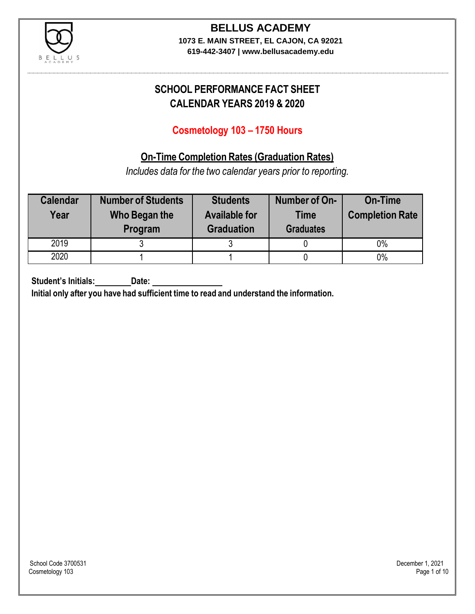

**619-442-3407 | www.bellusacademy.edu**

## **SCHOOL PERFORMANCE FACT SHEET CALENDAR YEARS 2019 & 2020**

## **Cosmetology 103 – 1750 Hours**

## **On-Time Completion Rates (Graduation Rates)**

*Includes data for the two calendar years prior to reporting.*

| <b>Calendar</b><br>Year | <b>Number of Students</b><br>Who Began the<br>Program | <b>Students</b><br><b>Available for</b><br><b>Graduation</b> | Number of On-<br><b>Time</b><br><b>Graduates</b> | <b>On-Time</b><br><b>Completion Rate</b> |
|-------------------------|-------------------------------------------------------|--------------------------------------------------------------|--------------------------------------------------|------------------------------------------|
| 2019                    |                                                       |                                                              |                                                  | 0%                                       |
| 2020                    |                                                       |                                                              |                                                  | $0\%$                                    |

**Student's Initials: Date:**

**Initial only after you have had sufficient time to read and understand the information.**

School Code 3700531 December 1, 2021<br>Cosmetology 103 Page 1 of 10 Cosmetology 103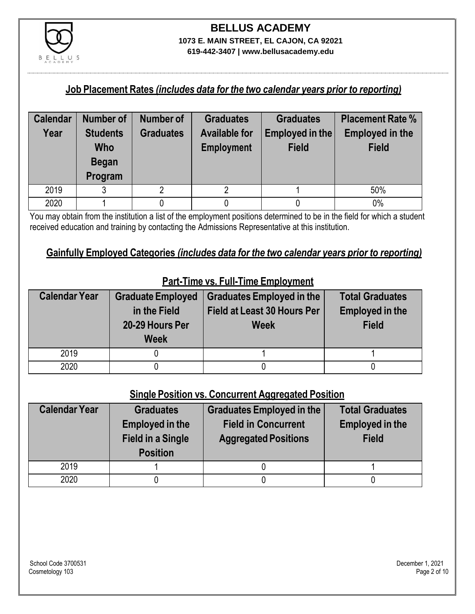

**619-442-3407 | www.bellusacademy.edu**

#### **Job Placement Rates** *(includes data for the two calendar years prior to reporting)*

| <b>Calendar</b> | Number of       | Number of        | <b>Graduates</b>     | <b>Graduates</b> | <b>Placement Rate %</b> |
|-----------------|-----------------|------------------|----------------------|------------------|-------------------------|
| Year            | <b>Students</b> | <b>Graduates</b> | <b>Available for</b> | Employed in the  | <b>Employed in the</b>  |
|                 | <b>Who</b>      |                  | <b>Employment</b>    | <b>Field</b>     | <b>Field</b>            |
|                 | <b>Began</b>    |                  |                      |                  |                         |
|                 | Program         |                  |                      |                  |                         |
| 2019            | ঽ               |                  |                      |                  | 50%                     |
| 2020            |                 |                  |                      |                  | 0%                      |

You may obtain from the institution a list of the employment positions determined to be in the field for which a student received education and training by contacting the Admissions Representative at this institution.

## **Gainfully Employed Categories** *(includes data for the two calendar years prior to reporting)*

| <b>Calendar Year</b> | <b>Graduate Employed</b><br>in the Field<br>20-29 Hours Per<br><b>Week</b> | <b>Graduates Employed in the</b><br><b>Field at Least 30 Hours Per</b><br><b>Week</b> | <b>Total Graduates</b><br><b>Employed in the</b><br><b>Field</b> |
|----------------------|----------------------------------------------------------------------------|---------------------------------------------------------------------------------------|------------------------------------------------------------------|
| 2019                 |                                                                            |                                                                                       |                                                                  |
| 2020                 |                                                                            |                                                                                       |                                                                  |

## **Part-Time vs. Full-Time Employment**

#### **Single Position vs. Concurrent Aggregated Position**

| <b>Calendar Year</b> | <b>Graduates</b><br><b>Employed in the</b><br><b>Field in a Single</b><br><b>Position</b> | Graduates Employed in the<br><b>Field in Concurrent</b><br><b>Aggregated Positions</b> | <b>Total Graduates</b><br><b>Employed in the</b><br><b>Field</b> |
|----------------------|-------------------------------------------------------------------------------------------|----------------------------------------------------------------------------------------|------------------------------------------------------------------|
| 2019                 |                                                                                           |                                                                                        |                                                                  |
| 2020                 |                                                                                           |                                                                                        |                                                                  |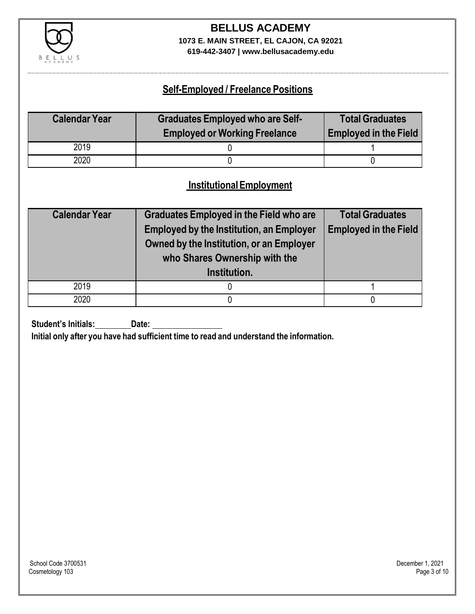

**619-442-3407 | www.bellusacademy.edu**

## **Self-Employed / Freelance Positions**

| <b>Calendar Year</b> | <b>Graduates Employed who are Self-</b><br><b>Employed or Working Freelance</b> | <b>Total Graduates</b><br><b>Employed in the Field</b> |
|----------------------|---------------------------------------------------------------------------------|--------------------------------------------------------|
| 2019                 |                                                                                 |                                                        |
| 2020                 |                                                                                 |                                                        |

## **InstitutionalEmployment**

| <b>Calendar Year</b> | <b>Graduates Employed in the Field who are</b><br><b>Employed by the Institution, an Employer</b><br>Owned by the Institution, or an Employer<br>who Shares Ownership with the<br>Institution. | <b>Total Graduates</b><br><b>Employed in the Field</b> |
|----------------------|------------------------------------------------------------------------------------------------------------------------------------------------------------------------------------------------|--------------------------------------------------------|
| 2019                 |                                                                                                                                                                                                |                                                        |
| 2020                 |                                                                                                                                                                                                |                                                        |

**Student's Initials:** Date:

**Initial only after you have had sufficient time to read and understand the information.**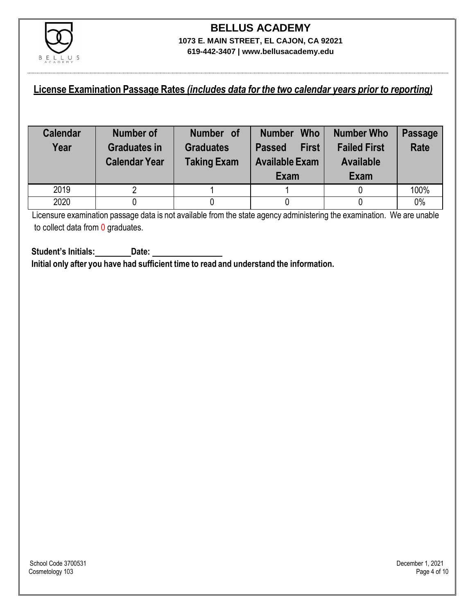

#### **License Examination Passage Rates** *(includes data for the two calendar years prior to reporting)*

| <b>Calendar</b><br>Year | Number of<br><b>Graduates in</b><br><b>Calendar Year</b> | Number of<br><b>Graduates</b><br><b>Taking Exam</b> | <b>Who</b><br><b>Number</b><br><b>First</b><br><b>Passed</b><br><b>Available Exam</b><br>Exam | <b>Number Who</b><br><b>Failed First</b><br><b>Available</b><br>Exam | <b>Passage</b><br><b>Rate</b> |
|-------------------------|----------------------------------------------------------|-----------------------------------------------------|-----------------------------------------------------------------------------------------------|----------------------------------------------------------------------|-------------------------------|
| 2019                    |                                                          |                                                     |                                                                                               |                                                                      | 100%                          |
| 2020                    |                                                          |                                                     |                                                                                               |                                                                      | 0%                            |

Licensure examination passage data is not available from the state agency administering the examination. We are unable to collect data from 0 graduates.

**Student's Initials: Date: Initial only after you have had sufficient time to read and understand the information.**

School Code 3700531 December 1, 2021<br>Cosmetology 103 Page 4 of 10 Cosmetology 103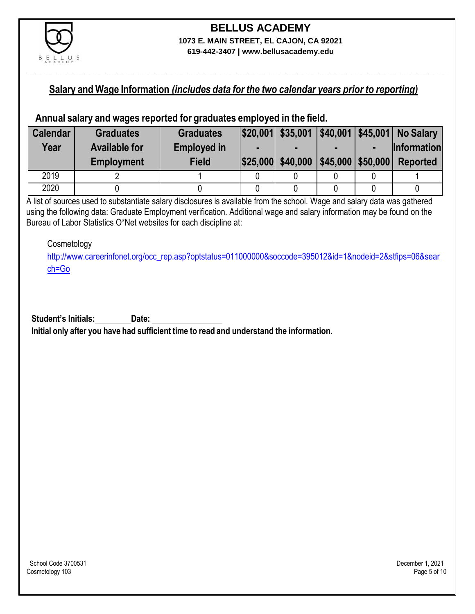

### **Salary and Wage Information** *(includes data for the two calendar years prior to reporting)*

#### **Annual salary and wages reported for graduates employed in the field.**

| <b>Calendar</b> | <b>Graduates</b>     | <b>Graduates</b>   |                   |                      | \$20,001 \$35,001 \$40,001 \$45,001 No Salary |
|-----------------|----------------------|--------------------|-------------------|----------------------|-----------------------------------------------|
| Year            | <b>Available for</b> | <b>Employed in</b> |                   |                      | <b>Information</b>                            |
|                 | <b>Employment</b>    | <b>Field</b>       | \$25,000 \$40,000 | $ $45,000$ \\$50,000 | <b>Reported</b>                               |
| 2019            |                      |                    |                   |                      |                                               |
| 2020            |                      |                    |                   |                      |                                               |

A list of sources used to substantiate salary disclosures is available from the school. Wage and salary data was gathered using the following data: Graduate Employment verification. Additional wage and salary information may be found on the Bureau of Labor Statistics O\*Net websites for each discipline at:

Cosmetology

[http://www.careerinfonet.org/occ\\_rep.asp?optstatus=011000000&soccode=395012&id=1&nodeid=2&stfips=06&sear](http://www.careerinfonet.org/occ_rep.asp?optstatus=011000000&soccode=395012&id=1&nodeid=2&stfips=06&search=Go) [ch=Go](http://www.careerinfonet.org/occ_rep.asp?optstatus=011000000&soccode=395012&id=1&nodeid=2&stfips=06&search=Go)

**Student's Initials:** Date: Date: **Initial only after you have had sufficient time to read and understand the information.**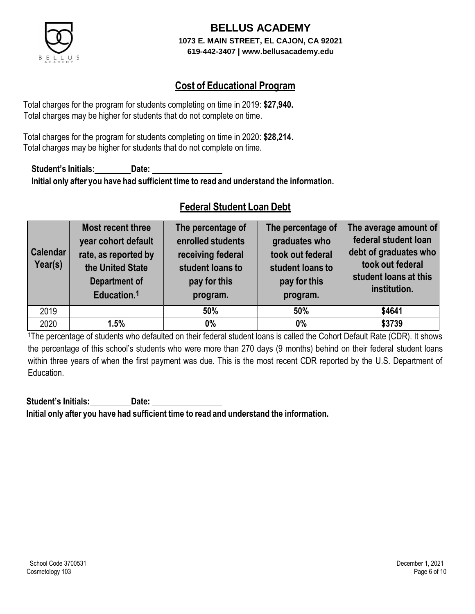

## **Cost of Educational Program**

Total charges for the program for students completing on time in 2019: **\$27,940.** Total charges may be higher for students that do not complete on time.

Total charges for the program for students completing on time in 2020: **\$28,214.** Total charges may be higher for students that do not complete on time.

**Student's Initials: Date: Initial only after you have had sufficient time to read and understand the information.**

## **Federal Student Loan Debt**

| <b>Calendar</b><br>Year(s) | Most recent three<br>year cohort default<br>rate, as reported by<br>the United State<br><b>Department of</b><br>Education. <sup>1</sup> | The percentage of<br>enrolled students<br>receiving federal<br>student loans to<br>pay for this<br>program. | The percentage of<br>graduates who<br>took out federal<br>student loans to<br>pay for this<br>program. | The average amount of<br>federal student loan<br>debt of graduates who<br>took out federal<br>student loans at this<br>institution. |
|----------------------------|-----------------------------------------------------------------------------------------------------------------------------------------|-------------------------------------------------------------------------------------------------------------|--------------------------------------------------------------------------------------------------------|-------------------------------------------------------------------------------------------------------------------------------------|
| 2019                       |                                                                                                                                         | 50%                                                                                                         | 50%                                                                                                    | \$4641                                                                                                                              |
| 2020                       | 1.5%                                                                                                                                    | 0%                                                                                                          | $0\%$                                                                                                  | \$3739                                                                                                                              |

<sup>1</sup>The percentage of students who defaulted on their federal student loans is called the Cohort Default Rate (CDR). It shows the percentage of this school's students who were more than 270 days (9 months) behind on their federal student loans within three years of when the first payment was due. This is the most recent CDR reported by the U.S. Department of Education.

**Student's Initials: Date: Initial only after you have had sufficient time to read and understand the information.**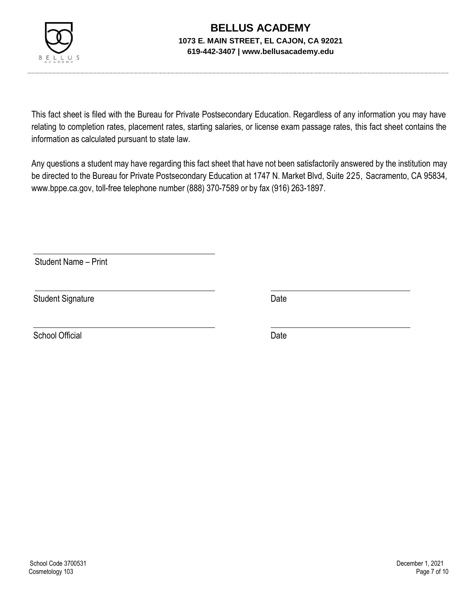

This fact sheet is filed with the Bureau for Private Postsecondary Education. Regardless of any information you may have relating to completion rates, placement rates, starting salaries, or license exam passage rates, this fact sheet contains the information as calculated pursuant to state law.

Any questions a student may have regarding this fact sheet that have not been satisfactorily answered by the institution may be directed to the Bureau for Private Postsecondary Education at 1747 N. Market Blvd, Suite 225, Sacramento, CA 95834, [www.bppe.ca.gov,](http://www.bppe.ca.gov/) toll-free telephone number (888) 370-7589 or by fax (916) 263-1897.

Student Name – Print

Student Signature Date

School Official Date Date Date Date Date Date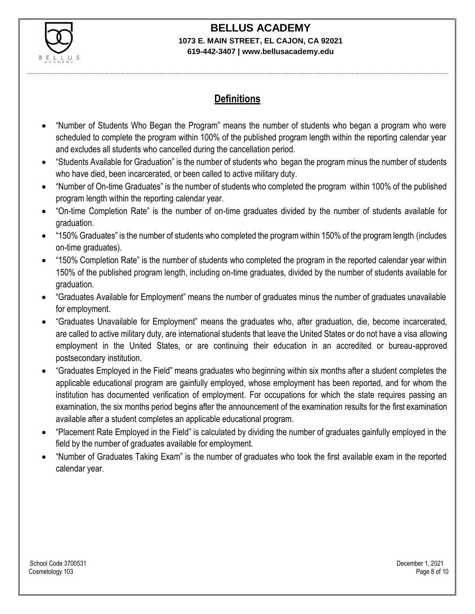

# **BELLUS ACADEMY**

#### **1073 E. MAIN STREET, EL CAJON, CA 92021 619-442-3407 | www.bellusacademy.edu**

## **Definitions**

- "Number of Students Who Began the Program" means the number of students who began a program who were scheduled to complete the program within 100% of the published program length within the reporting calendar year and excludes all students who cancelled during the cancellation period.
- "Students Available for Graduation" is the number of students who began the program minus the number of students who have died, been incarcerated, or been called to active military duty.
- "Number of On-time Graduates" is the number of students who completed the program within 100% of the published program length within the reporting calendar year.
- "On-time Completion Rate" is the number of on-time graduates divided by the number of students available for graduation.
- "150% Graduates" is the number of students who completed the program within 150% of the program length (includes on-time graduates).
- "150% Completion Rate" is the number of students who completed the program in the reported calendar year within 150% of the published program length, including on-time graduates, divided by the number of students available for graduation.
- "Graduates Available for Employment" means the number of graduates minus the number of graduates unavailable for employment.
- "Graduates Unavailable for Employment" means the graduates who, after graduation, die, become incarcerated, are called to active military duty, are international students that leave the United States or do not have a visa allowing employment in the United States, or are continuing their education in an accredited or bureau-approved postsecondary institution.
- "Graduates Employed in the Field" means graduates who beginning within six months after a student completes the applicable educational program are gainfully employed, whose employment has been reported, and for whom the institution has documented verification of employment. For occupations for which the state requires passing an examination, the six months period begins after the announcement of the examination results for the first examination available after a student completes an applicable educational program.
- "Placement Rate Employed in the Field" is calculated by dividing the number of graduates gainfully employed in the field by the number of graduates available for employment.
- "Number of Graduates Taking Exam" is the number of graduates who took the first available exam in the reported calendar year.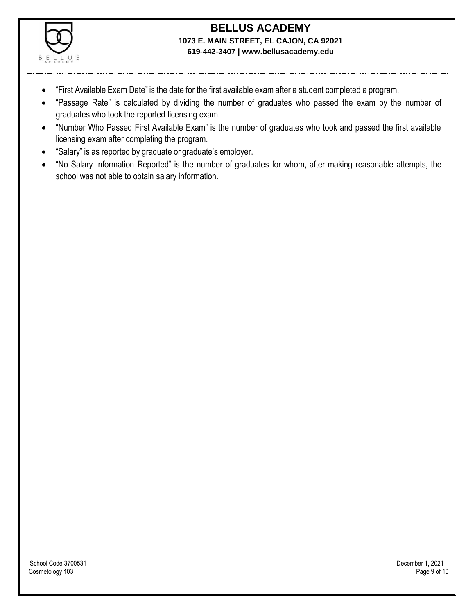

- "First Available Exam Date" is the date for the first available exam after a student completed a program.
- "Passage Rate" is calculated by dividing the number of graduates who passed the exam by the number of graduates who took the reported licensing exam.
- "Number Who Passed First Available Exam" is the number of graduates who took and passed the first available licensing exam after completing the program.
- "Salary" is as reported by graduate or graduate's employer.
- "No Salary Information Reported" is the number of graduates for whom, after making reasonable attempts, the school was not able to obtain salary information.